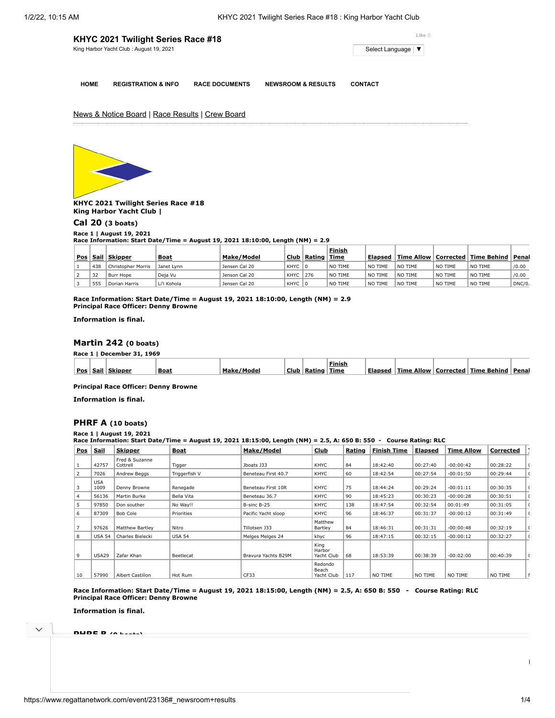| KHYC 2021 Twilight Series Race #18      | Like 0              |
|-----------------------------------------|---------------------|
| King Harbor Yacht Club: August 19, 2021 | Select Language   ▼ |
|                                         |                     |

**HOME REGISTRATION & INFO RACE DOCUMENTS NEWSROOM & RESULTS CONTACT**

**Finish**

News & Notice Board | Race Results | Crew Board



**KHYC 2021 Twilight Series Race #18 King Harbor Yacht Club |**

### **[Cal 20](https://www.regattanetwork.com/clubmgmt/applet_race_scores_khyc.php?regatta_id=23136&race_num=1) (3 boats)**

### **Race 1 | August 19, 2021**

**Race Information: Start Date/Time = August 19, 2021 18:10:00, Length (NM) = 2.9**

|     |      |                           |             |               |             |        | Finish  |                        |         |         |                                      |        |
|-----|------|---------------------------|-------------|---------------|-------------|--------|---------|------------------------|---------|---------|--------------------------------------|--------|
| Pos | Sail | <u>  Skipper</u>          | <b>Boat</b> | Make/Model    | Club        | Rating | Time    | Elapsed                |         |         | Time Allow   Corrected   Time Behind | Penal  |
|     | 438  | <b>Christopher Morris</b> | Janet Lynn  | Jensen Cal 20 | <b>KHYC</b> |        | NO TIME | N <sub>O</sub><br>TIME | NO TIME | NO TIME | NO TIME                              | /0.00  |
|     | 32   | Burr Hope                 | Deja Vu     | Jenson Cal 20 | <b>KHYC</b> | 276    | NO TIME | TIME<br>N <sub>O</sub> | NO TIME | NO TIME | NO TIME                              | /0.00  |
|     | 555  | Dorian Harris             | Li'l Kohola | Jensen Cal 20 | <b>KHYC</b> |        | NO TIME | N <sub>O</sub><br>TIME | NO TIME | NO TIME | NO TIME                              | DNC/0. |

**Race Information: Start Date/Time = August 19, 2021 18:10:00, Length (NM) = 2.9 Principal Race Officer: Denny Browne**

**Information is final.**

## **[Martin 242](https://www.regattanetwork.com/clubmgmt/applet_race_scores_khyc.php?regatta_id=23136&race_num=1) (0 boats)**

**Race 1 | December 31, 1969**

|  | Pos | Sail | Skipper | Boat | M.<br>റദല | Club | Ratino | Finish.<br>--<br>Time | Elapsed | Allow<br>Time | Corrected | Behinc<br>Time | Pena |
|--|-----|------|---------|------|-----------|------|--------|-----------------------|---------|---------------|-----------|----------------|------|
|--|-----|------|---------|------|-----------|------|--------|-----------------------|---------|---------------|-----------|----------------|------|

**Principal Race Officer: Denny Browne**

**Information is final.**

# **[PHRF A](https://www.regattanetwork.com/clubmgmt/applet_race_scores_khyc.php?regatta_id=23136&race_num=1) (10 boats)**

**Race 1 | August 19, 2021 Race Information: Start Date/Time = August 19, 2021 18:15:00, Length (NM) = 2.5, A: 650 B: 550 - Course Rating: RLC**

| <u>Pos</u> | Sail               | <b>Skipper</b>             | <b>Boat</b>   | Make/Model          | <b>Club</b>                    | Rating | <b>Finish Time</b> | <u>Elapsed</u> | <b>Time Allow</b> | Corrected |
|------------|--------------------|----------------------------|---------------|---------------------|--------------------------------|--------|--------------------|----------------|-------------------|-----------|
|            | 42757              | Fred & Suzanne<br>Cottrell | Tigger        | Jboats J33          | <b>KHYC</b>                    | 84     | 18:42:40           | 00:27:40       | $-00:00:42$       | 00:28:22  |
| 2          | 7026               | Andrew Beggs               | Triggerfish V | Beneteau First 40.7 | <b>KHYC</b>                    | 60     | 18:42:54           | 00:27:54       | $-00:01:50$       | 00:29:44  |
| 3          | <b>USA</b><br>1009 | Denny Browne               | Renegade      | Beneteau First 10R  | <b>KHYC</b>                    | 75     | 18:44:24           | 00:29:24       | $-00:01:11$       | 00:30:35  |
| 4          | 56136              | Martin Burke               | Bella Vita    | Beneteau 36.7       | <b>KHYC</b>                    | 90     | 18:45:23           | 00:30:23       | $-00:00:28$       | 00:30:51  |
| 5          | 97850              | Don souther                | No Way!!      | B-sinc B-25         | <b>KHYC</b>                    | 138    | 18:47:54           | 00:32:54       | 00:01:49          | 00:31:05  |
| 6          | 87309              | Bob Cole                   | Priorities    | Pacific Yacht sloop | <b>KHYC</b>                    | 96     | 18:46:37           | 00:31:37       | $-00:00:12$       | 00:31:49  |
|            | 97626              | Matthew Bartley            | Nitro         | Tillotsen J33       | Matthew<br>Bartley             | 84     | 18:46:31           | 00:31:31       | $-00:00:48$       | 00:32:19  |
| 8          | <b>USA 54</b>      | Charles Bielecki           | <b>USA 54</b> | Melges Melges 24    | khyc                           | 96     | 18:47:15           | 00:32:15       | $-00:00:12$       | 00:32:27  |
| 9          | <b>USA29</b>       | Zafar Khan                 | Beetlecat     | Bravura Yachts B29M | King<br>Harbor<br>Yacht Club   | 68     | 18:53:39           | 00:38:39       | $-00:02:00$       | 00:40:39  |
| 10         | 57990              | <b>Albert Castillon</b>    | Hot Rum       | CF33                | Redondo<br>Beach<br>Yacht Club | 117    | NO TIME            | NO TIME        | NO TIME           | NO TIME   |

**Race Information: Start Date/Time = August 19, 2021 18:15:00, Length (NM) = 2.5, A: 650 B: 550 - Course Rating: RLC Principal Race Officer: Denny Browne**

**Information is final.**

**Information is final.**

**[PHRF B](https://www.regattanetwork.com/clubmgmt/applet_race_scores_khyc.php?regatta_id=23136&race_num=1) (0 boats)**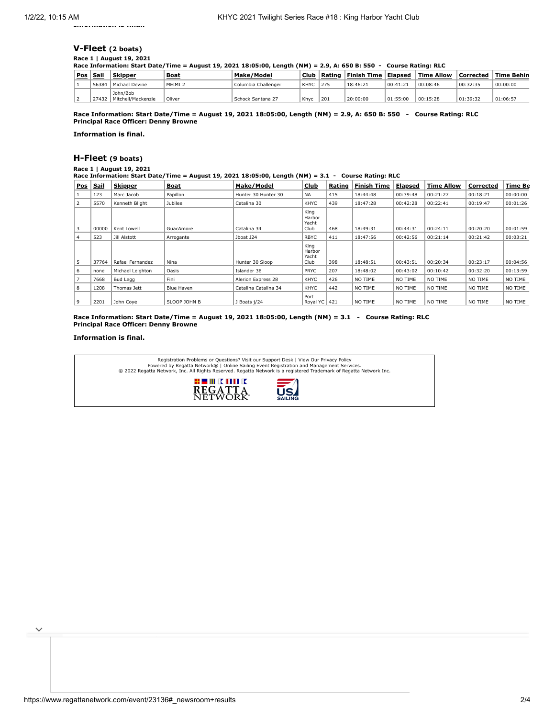### **[V-Fleet](https://www.regattanetwork.com/clubmgmt/applet_race_scores_khyc.php?regatta_id=23136&race_num=1) (2 boats) Race 1 | August 19, 2021**

**Information is final.**

**Race Information: Start Date/Time = August 19, 2021 18:05:00, Length (NM) = 2.9, A: 650 B: 550 - Course Rating: RLC**

| Pos | Sail  | <b>Skipper</b>                 | <u>Boat</u>        | Make/Model          | Club | Rating | <b>Finish Time</b> | Elapsed  | Time Allow | Corrected | <b>Time Behin</b> |
|-----|-------|--------------------------------|--------------------|---------------------|------|--------|--------------------|----------|------------|-----------|-------------------|
|     | 56384 | Michael Devine                 | MEIMI <sub>2</sub> | Columbia Challenger | KHYC | 275    | 18:46:21           | 00:41:21 | 00:08:46   | 00:32:35  | 00:00:00          |
|     | 27432 | John/Bob<br>Mitchell/Mackenzie | Oliver             | Schock Santana 27   | Khyd | 201    | 20:00:00           | 01:55:00 | 00:15:28   | 01:39:32  | 01:06:57          |

**Race Information: Start Date/Time = August 19, 2021 18:05:00, Length (NM) = 2.9, A: 650 B: 550 - Course Rating: RLC Principal Race Officer: Denny Browne**

**Information is final.**

## **[H-Fleet](https://www.regattanetwork.com/clubmgmt/applet_race_scores_khyc.php?regatta_id=23136&race_num=1) (9 boats)**

**Race 1 | August 19, 2021 Race Information: Start Date/Time = August 19, 2021 18:05:00, Length (NM) = 3.1 - Course Rating: RLC**

| Pos                      | <b>Sail</b> | <b>Skipper</b>   | <b>Boat</b>  | Make/Model           | <b>Club</b>                     | Rating | <b>Finish Time</b> | <u>Elapsed</u> | <b>Time Allow</b> | Corrected | <b>Time Be</b> |
|--------------------------|-------------|------------------|--------------|----------------------|---------------------------------|--------|--------------------|----------------|-------------------|-----------|----------------|
|                          | 123         | Marc Jacob       | Papillon     | Hunter 30 Hunter 30  | <b>NA</b>                       | 415    | 18:44:48           | 00:39:48       | 00:21:27          | 00:18:21  | 00:00:00       |
| $\overline{\phantom{a}}$ | 5570        | Kenneth Blight   | Jubilee      | Catalina 30          | <b>KHYC</b>                     | 439    | 18:47:28           | 00:42:28       | 00:22:41          | 00:19:47  | 00:01:26       |
| 3                        | 00000       | Kent Lowell      | GuacAmore    | Catalina 34          | King<br>Harbor<br>Yacht<br>Club | 468    | 18:49:31           | 00:44:31       | 00:24:11          | 00:20:20  | 00:01:59       |
| 4                        | 523         | Jill Alstott     | Arrogante    | Jboat J24            | <b>RBYC</b>                     | 411    | 18:47:56           | 00:42:56       | 00:21:14          | 00:21:42  | 00:03:21       |
| 5                        | 37764       | Rafael Fernandez | Nina         | Hunter 30 Sloop      | King<br>Harbor<br>Yacht<br>Club | 398    | 18:48:51           | 00:43:51       | 00:20:34          | 00:23:17  | 00:04:56       |
| 6                        | none        | Michael Leighton | Oasis        | Islander 36          | PRYC                            | 207    | 18:48:02           | 00:43:02       | 00:10:42          | 00:32:20  | 00:13:59       |
|                          | 7668        | Bud Legg         | Fini         | Alerion Express 28   | <b>KHYC</b>                     | 426    | NO TIME            | NO TIME        | NO TIME           | NO TIME   | NO TIME        |
| 8                        | 1208        | Thomas Jett      | Blue Haven   | Catalina Catalina 34 | <b>KHYC</b>                     | 442    | NO TIME            | NO TIME        | NO TIME           | NO TIME   | NO TIME        |
| 9                        | 2201        | John Coye        | SLOOP JOHN B | J Boats j/24         | Port<br>Royal YC 421            |        | NO TIME            | NO TIME        | NO TIME           | NO TIME   | NO TIME        |

**Race Information: Start Date/Time = August 19, 2021 18:05:00, Length (NM) = 3.1 - Course Rating: RLC Principal Race Officer: Denny Browne**

#### **Information is final.**

Registration Problems or Questions? [Visit our Support Desk](http://support.regattanetwork.com/) | [View Our Privacy Policy](https://www.regattanetwork.com/html/privacy.html)<br>[Powered by Regatta Network®](http://www.regattanetwork.com/) | Online Sailing Event Registration and Management Services.<br>© 2022 [Regatta Network](http://www.regattanetwork.com/), Inc. All Rights Reserved **HEMKUDK REGATTA**<br>NETWORK US,

 $\checkmark$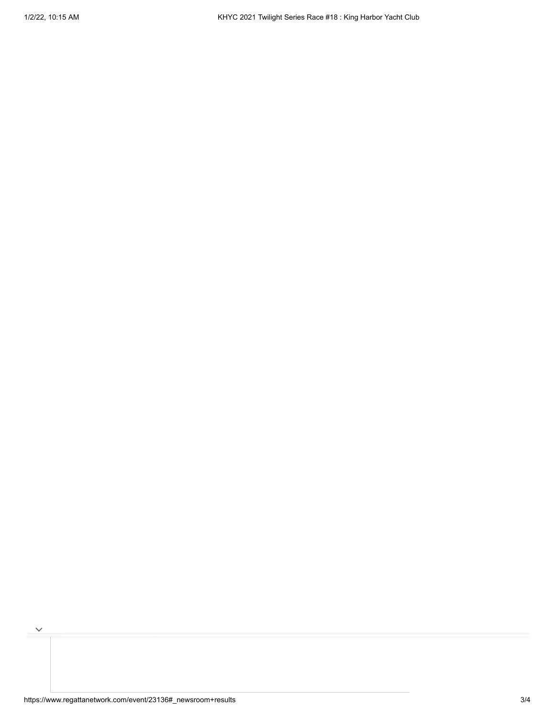$\vee$